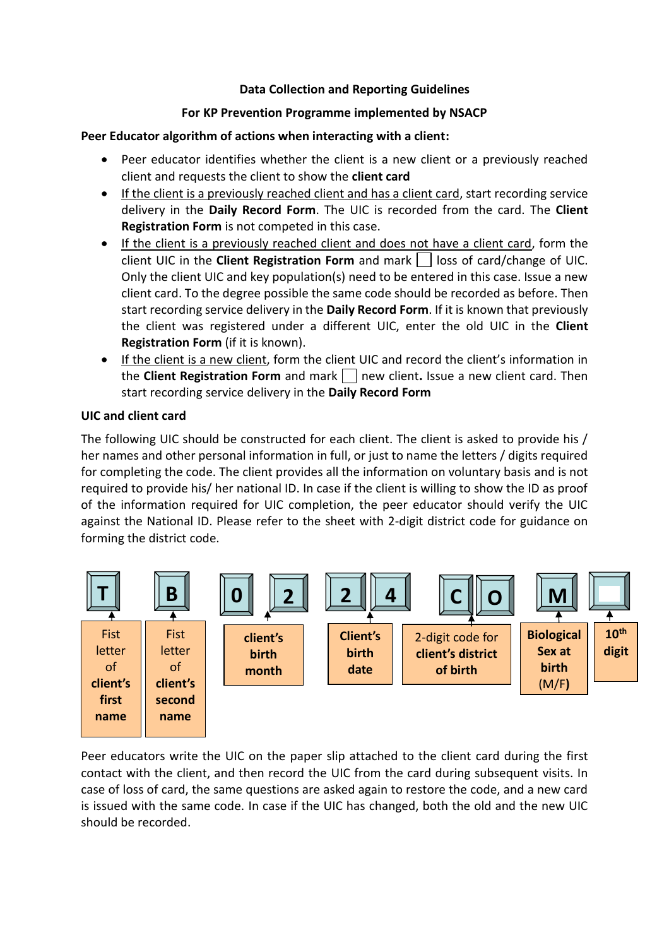### **Data Collection and Reporting Guidelines**

### **For KP Prevention Programme implemented by NSACP**

### **Peer Educator algorithm of actions when interacting with a client:**

- Peer educator identifies whether the client is a new client or a previously reached client and requests the client to show the **client card**
- If the client is a previously reached client and has a client card, start recording service delivery in the **Daily Record Form**. The UIC is recorded from the card. The **Client Registration Form** is not competed in this case.
- If the client is a previously reached client and does not have a client card, form the client UIC in the **Client Registration Form** and mark | | loss of card/change of UIC. Only the client UIC and key population(s) need to be entered in this case. Issue a new client card. To the degree possible the same code should be recorded as before. Then start recording service delivery in the **Daily Record Form**. If it is known that previously the client was registered under a different UIC, enter the old UIC in the **Client Registration Form** (if it is known).
- If the client is a new client, form the client UIC and record the client's information in the **Client Registration Form** and mark new client**.** Issue a new client card. Then start recording service delivery in the **Daily Record Form**

#### **UIC and client card**

The following UIC should be constructed for each client. The client is asked to provide his / her names and other personal information in full, or just to name the letters / digits required for completing the code. The client provides all the information on voluntary basis and is not required to provide his/ her national ID. In case if the client is willing to show the ID as proof of the information required for UIC completion, the peer educator should verify the UIC against the National ID. Please refer to the sheet with 2-digit district code for guidance on forming the district code.



Peer educators write the UIC on the paper slip attached to the client card during the first contact with the client, and then record the UIC from the card during subsequent visits. In case of loss of card, the same questions are asked again to restore the code, and a new card is issued with the same code. In case if the UIC has changed, both the old and the new UIC should be recorded.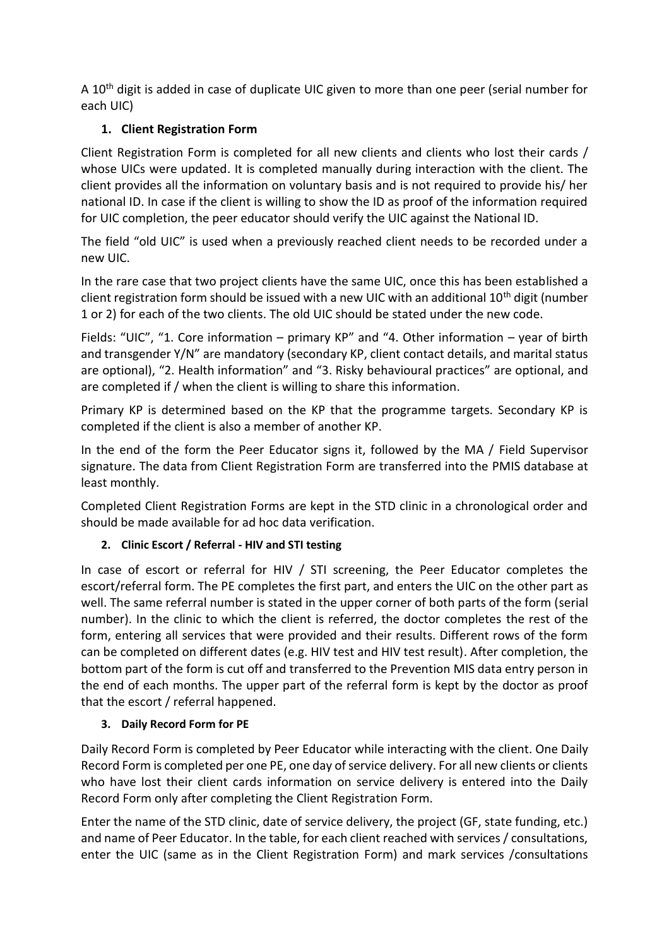A 10<sup>th</sup> digit is added in case of duplicate UIC given to more than one peer (serial number for each UIC)

# **1. Client Registration Form**

Client Registration Form is completed for all new clients and clients who lost their cards / whose UICs were updated. It is completed manually during interaction with the client. The client provides all the information on voluntary basis and is not required to provide his/ her national ID. In case if the client is willing to show the ID as proof of the information required for UIC completion, the peer educator should verify the UIC against the National ID.

The field "old UIC" is used when a previously reached client needs to be recorded under a new UIC.

In the rare case that two project clients have the same UIC, once this has been established a client registration form should be issued with a new UIC with an additional 10<sup>th</sup> digit (number 1 or 2) for each of the two clients. The old UIC should be stated under the new code.

Fields: "UIC", "1. Core information – primary KP" and "4. Other information – year of birth and transgender Y/N" are mandatory (secondary KP, client contact details, and marital status are optional), "2. Health information" and "3. Risky behavioural practices" are optional, and are completed if / when the client is willing to share this information.

Primary KP is determined based on the KP that the programme targets. Secondary KP is completed if the client is also a member of another KP.

In the end of the form the Peer Educator signs it, followed by the MA / Field Supervisor signature. The data from Client Registration Form are transferred into the PMIS database at least monthly.

Completed Client Registration Forms are kept in the STD clinic in a chronological order and should be made available for ad hoc data verification.

## **2. Clinic Escort / Referral - HIV and STI testing**

In case of escort or referral for HIV / STI screening, the Peer Educator completes the escort/referral form. The PE completes the first part, and enters the UIC on the other part as well. The same referral number is stated in the upper corner of both parts of the form (serial number). In the clinic to which the client is referred, the doctor completes the rest of the form, entering all services that were provided and their results. Different rows of the form can be completed on different dates (e.g. HIV test and HIV test result). After completion, the bottom part of the form is cut off and transferred to the Prevention MIS data entry person in the end of each months. The upper part of the referral form is kept by the doctor as proof that the escort / referral happened.

## **3. Daily Record Form for PE**

Daily Record Form is completed by Peer Educator while interacting with the client. One Daily Record Form is completed per one PE, one day of service delivery. For all new clients or clients who have lost their client cards information on service delivery is entered into the Daily Record Form only after completing the Client Registration Form.

Enter the name of the STD clinic, date of service delivery, the project (GF, state funding, etc.) and name of Peer Educator. In the table, for each client reached with services / consultations, enter the UIC (same as in the Client Registration Form) and mark services /consultations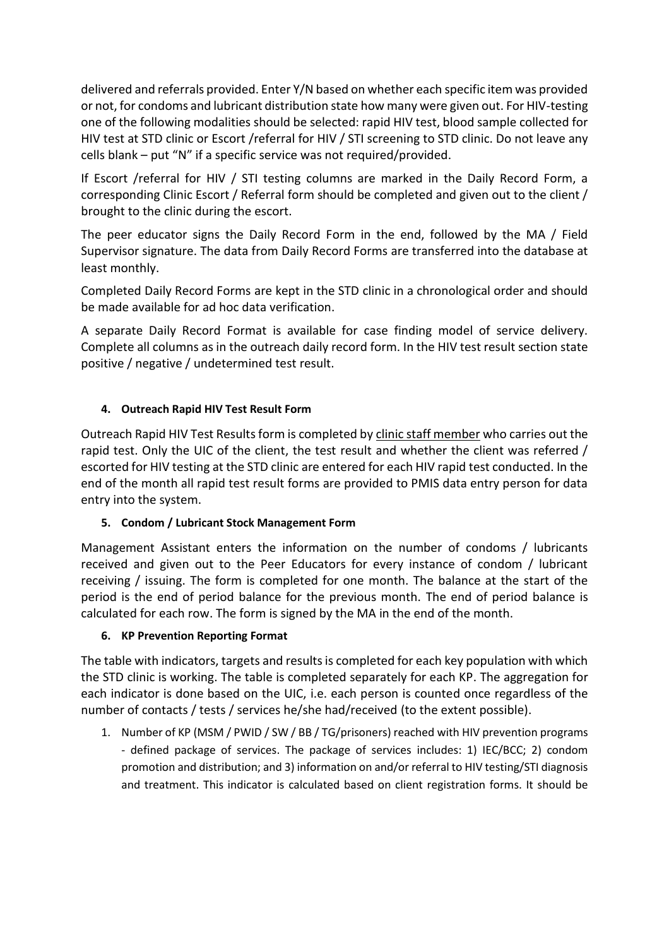delivered and referrals provided. Enter Y/N based on whether each specific item was provided or not, for condoms and lubricant distribution state how many were given out. For HIV-testing one of the following modalities should be selected: rapid HIV test, blood sample collected for HIV test at STD clinic or Escort /referral for HIV / STI screening to STD clinic. Do not leave any cells blank – put "N" if a specific service was not required/provided.

If Escort /referral for HIV / STI testing columns are marked in the Daily Record Form, a corresponding Clinic Escort / Referral form should be completed and given out to the client / brought to the clinic during the escort.

The peer educator signs the Daily Record Form in the end, followed by the MA / Field Supervisor signature. The data from Daily Record Forms are transferred into the database at least monthly.

Completed Daily Record Forms are kept in the STD clinic in a chronological order and should be made available for ad hoc data verification.

A separate Daily Record Format is available for case finding model of service delivery. Complete all columns as in the outreach daily record form. In the HIV test result section state positive / negative / undetermined test result.

### **4. Outreach Rapid HIV Test Result Form**

Outreach Rapid HIV Test Results form is completed by clinic staff member who carries out the rapid test. Only the UIC of the client, the test result and whether the client was referred / escorted for HIV testing at the STD clinic are entered for each HIV rapid test conducted. In the end of the month all rapid test result forms are provided to PMIS data entry person for data entry into the system.

### **5. Condom / Lubricant Stock Management Form**

Management Assistant enters the information on the number of condoms / lubricants received and given out to the Peer Educators for every instance of condom / lubricant receiving / issuing. The form is completed for one month. The balance at the start of the period is the end of period balance for the previous month. The end of period balance is calculated for each row. The form is signed by the MA in the end of the month.

### **6. KP Prevention Reporting Format**

The table with indicators, targets and results is completed for each key population with which the STD clinic is working. The table is completed separately for each KP. The aggregation for each indicator is done based on the UIC, i.e. each person is counted once regardless of the number of contacts / tests / services he/she had/received (to the extent possible).

1. Number of KP (MSM / PWID / SW / BB / TG/prisoners) reached with HIV prevention programs - defined package of services. The package of services includes: 1) IEC/BCC; 2) condom promotion and distribution; and 3) information on and/or referral to HIV testing/STI diagnosis and treatment. This indicator is calculated based on client registration forms. It should be